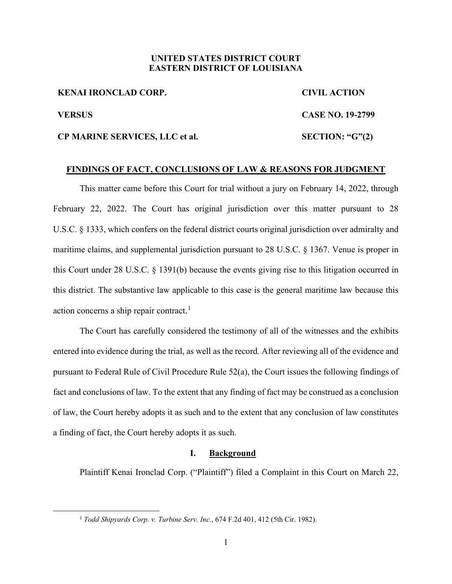## **UNITED STATES DISTRICT COURT EASTERN DISTRICT OF LOUISIANA**

**KENAI IRONCLAD CORP. CIVIL ACTION VERSUS CASE NO. 19-2799 CP MARINE SERVICES, LLC et al. SECTION: "G"(2)**

### **FINDINGS OF FACT, CONCLUSIONS OF LAW & REASONS FOR JUDGMENT**

This matter came before this Court for trial without a jury on February 14, 2022, through February 22, 2022. The Court has original jurisdiction over this matter pursuant to 28 U.S.C. § 1333, which confers on the federal district courts original jurisdiction over admiralty and maritime claims, and supplemental jurisdiction pursuant to 28 U.S.C. § 1367. Venue is proper in this Court under 28 U.S.C. § 1391(b) because the events giving rise to this litigation occurred in this district. The substantive law applicable to this case is the general maritime law because this action concerns a ship repair contract.<sup>1</sup>

The Court has carefully considered the testimony of all of the witnesses and the exhibits entered into evidence during the trial, as well as the record. After reviewing all of the evidence and pursuant to Federal Rule of Civil Procedure Rule 52(a), the Court issues the following findings of fact and conclusions of law. To the extent that any finding of fact may be construed as a conclusion of law, the Court hereby adopts it as such and to the extent that any conclusion of law constitutes a finding of fact, the Court hereby adopts it as such.

### **I. Background**

Plaintiff Kenai Ironclad Corp. ("Plaintiff") filed a Complaint in this Court on March 22,

<sup>1</sup> *Todd Shipyards Corp. v. Turbine Serv. Inc.*, 674 F.2d 401, 412 (5th Cir. 1982).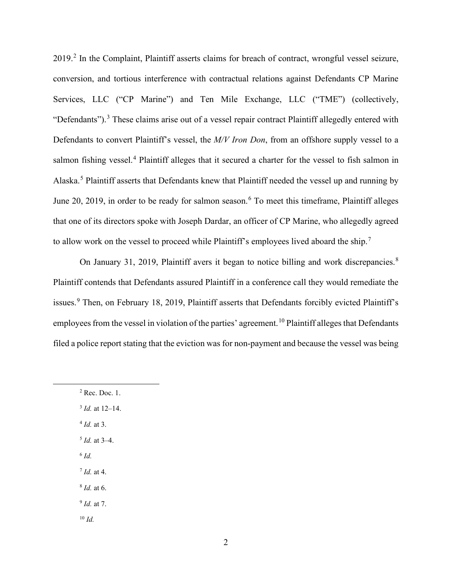2019.<sup>2</sup> In the Complaint, Plaintiff asserts claims for breach of contract, wrongful vessel seizure, conversion, and tortious interference with contractual relations against Defendants CP Marine Services, LLC ("CP Marine") and Ten Mile Exchange, LLC ("TME") (collectively, "Defendants").<sup>3</sup> These claims arise out of a vessel repair contract Plaintiff allegedly entered with Defendants to convert Plaintiff's vessel, the *M/V Iron Don*, from an offshore supply vessel to a salmon fishing vessel.<sup>4</sup> Plaintiff alleges that it secured a charter for the vessel to fish salmon in Alaska.<sup>5</sup> Plaintiff asserts that Defendants knew that Plaintiff needed the vessel up and running by June 20, 2019, in order to be ready for salmon season.<sup>6</sup> To meet this timeframe, Plaintiff alleges that one of its directors spoke with Joseph Dardar, an officer of CP Marine, who allegedly agreed to allow work on the vessel to proceed while Plaintiff's employees lived aboard the ship.<sup>7</sup>

On January 31, 2019, Plaintiff avers it began to notice billing and work discrepancies.<sup>8</sup> Plaintiff contends that Defendants assured Plaintiff in a conference call they would remediate the issues.<sup>9</sup> Then, on February 18, 2019, Plaintiff asserts that Defendants forcibly evicted Plaintiff's employees from the vessel in violation of the parties' agreement.<sup>10</sup> Plaintiff alleges that Defendants filed a police report stating that the eviction was for non-payment and because the vessel was being

- <sup>5</sup> *Id.* at 3–4.
- <sup>6</sup> *Id.*
- <sup>7</sup> *Id.* at 4.
- <sup>8</sup> *Id.* at 6.
- <sup>9</sup> *Id.* at 7.
- <sup>10</sup> *Id.*

<sup>2</sup> Rec. Doc. 1. <sup>3</sup> *Id.* at 12–14. <sup>4</sup> *Id.* at 3.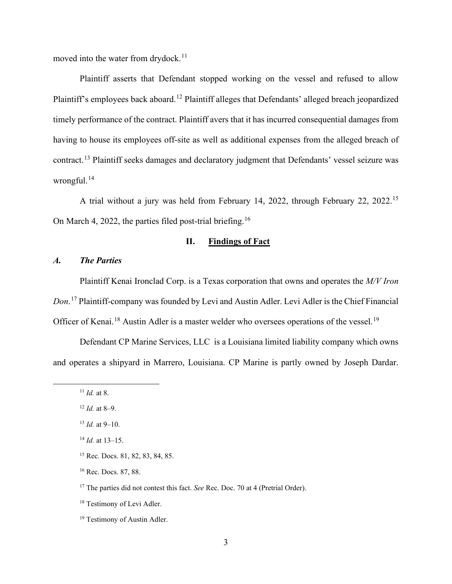moved into the water from drydock.<sup>11</sup>

Plaintiff asserts that Defendant stopped working on the vessel and refused to allow Plaintiff's employees back aboard.<sup>12</sup> Plaintiff alleges that Defendants' alleged breach jeopardized timely performance of the contract. Plaintiff avers that it has incurred consequential damages from having to house its employees off-site as well as additional expenses from the alleged breach of contract.<sup>13</sup> Plaintiff seeks damages and declaratory judgment that Defendants' vessel seizure was wrongful. $14$ 

A trial without a jury was held from February 14, 2022, through February 22, 2022. 15 On March 4, 2022, the parties filed post-trial briefing.<sup>16</sup>

## **II. Findings of Fact**

## *A. The Parties*

Plaintiff Kenai Ironclad Corp. is a Texas corporation that owns and operates the *M/V Iron Don*. <sup>17</sup> Plaintiff-company was founded by Levi and Austin Adler. Levi Adler is the Chief Financial Officer of Kenai.<sup>18</sup> Austin Adler is a master welder who oversees operations of the vessel.<sup>19</sup>

Defendant CP Marine Services, LLC is a Louisiana limited liability company which owns and operates a shipyard in Marrero, Louisiana. CP Marine is partly owned by Joseph Dardar.

<sup>11</sup> *Id.* at 8.

<sup>12</sup> *Id.* at 8–9.

 $13$  *Id.* at 9–10.

<sup>14</sup> *Id.* at 13–15.

<sup>15</sup> Rec. Docs. 81, 82, 83, 84, 85.

<sup>16</sup> Rec. Docs. 87, 88.

<sup>&</sup>lt;sup>17</sup> The parties did not contest this fact. *See* Rec. Doc. 70 at 4 (Pretrial Order).

<sup>&</sup>lt;sup>18</sup> Testimony of Levi Adler.

<sup>&</sup>lt;sup>19</sup> Testimony of Austin Adler.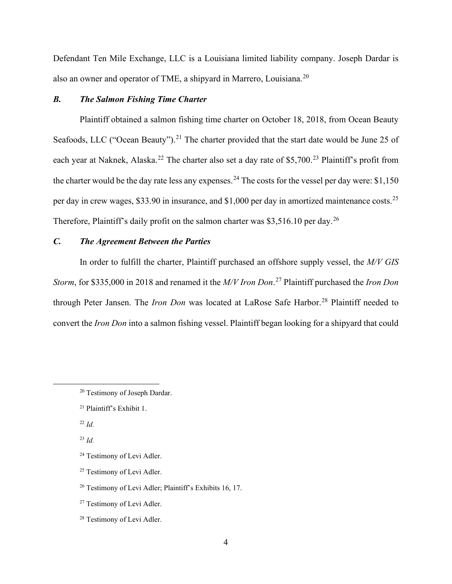Defendant Ten Mile Exchange, LLC is a Louisiana limited liability company. Joseph Dardar is also an owner and operator of TME, a shipyard in Marrero, Louisiana. $^{20}$ 

### *B. The Salmon Fishing Time Charter*

Plaintiff obtained a salmon fishing time charter on October 18, 2018, from Ocean Beauty Seafoods, LLC ("Ocean Beauty").<sup>21</sup> The charter provided that the start date would be June 25 of each year at Naknek, Alaska.<sup>22</sup> The charter also set a day rate of \$5,700.<sup>23</sup> Plaintiff's profit from the charter would be the day rate less any expenses.<sup>24</sup> The costs for the vessel per day were: \$1,150 per day in crew wages, \$33.90 in insurance, and \$1,000 per day in amortized maintenance costs.<sup>25</sup> Therefore, Plaintiff's daily profit on the salmon charter was \$3,516.10 per day.<sup>26</sup>

# *C. The Agreement Between the Parties*

In order to fulfill the charter, Plaintiff purchased an offshore supply vessel, the *M/V GIS Storm*, for \$335,000 in 2018 and renamed it the *M/V Iron Don*. <sup>27</sup> Plaintiff purchased the *Iron Don* through Peter Jansen. The *Iron Don* was located at LaRose Safe Harbor.<sup>28</sup> Plaintiff needed to convert the *Iron Don* into a salmon fishing vessel. Plaintiff began looking for a shipyard that could

<sup>&</sup>lt;sup>20</sup> Testimony of Joseph Dardar.

<sup>21</sup> Plaintiff's Exhibit 1.

<sup>22</sup> *Id.*

<sup>23</sup> *Id.*

<sup>24</sup> Testimony of Levi Adler.

<sup>&</sup>lt;sup>25</sup> Testimony of Levi Adler.

<sup>26</sup> Testimony of Levi Adler; Plaintiff's Exhibits 16, 17.

<sup>&</sup>lt;sup>27</sup> Testimony of Levi Adler.

<sup>28</sup> Testimony of Levi Adler.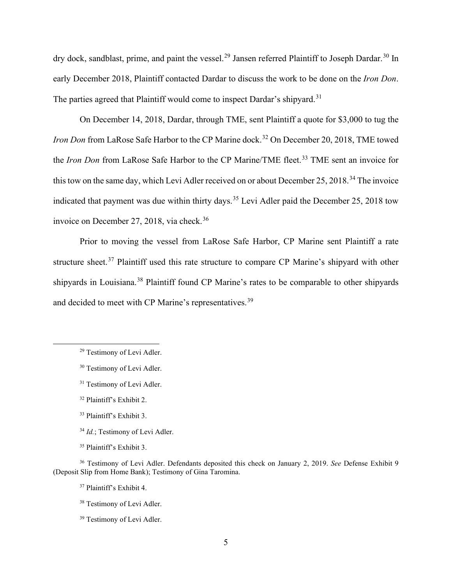dry dock, sandblast, prime, and paint the vessel.<sup>29</sup> Jansen referred Plaintiff to Joseph Dardar.<sup>30</sup> In early December 2018, Plaintiff contacted Dardar to discuss the work to be done on the *Iron Don*. The parties agreed that Plaintiff would come to inspect Dardar's shipyard.<sup>31</sup>

On December 14, 2018, Dardar, through TME, sent Plaintiff a quote for \$3,000 to tug the *Iron Don* from LaRose Safe Harbor to the CP Marine dock. <sup>32</sup> On December 20, 2018, TME towed the *Iron Don* from LaRose Safe Harbor to the CP Marine/TME fleet.<sup>33</sup> TME sent an invoice for this tow on the same day, which Levi Adler received on or about December 25, 2018.<sup>34</sup> The invoice indicated that payment was due within thirty days.<sup>35</sup> Levi Adler paid the December 25, 2018 tow invoice on December 27, 2018, via check.<sup>36</sup>

Prior to moving the vessel from LaRose Safe Harbor, CP Marine sent Plaintiff a rate structure sheet.<sup>37</sup> Plaintiff used this rate structure to compare CP Marine's shipyard with other shipyards in Louisiana.<sup>38</sup> Plaintiff found CP Marine's rates to be comparable to other shipyards and decided to meet with CP Marine's representatives.<sup>39</sup>

<sup>29</sup> Testimony of Levi Adler.

<sup>&</sup>lt;sup>30</sup> Testimony of Levi Adler.

<sup>&</sup>lt;sup>31</sup> Testimony of Levi Adler.

<sup>32</sup> Plaintiff's Exhibit 2.

<sup>33</sup> Plaintiff's Exhibit 3.

<sup>&</sup>lt;sup>34</sup> *Id.*; Testimony of Levi Adler.

<sup>35</sup> Plaintiff's Exhibit 3.

<sup>36</sup> Testimony of Levi Adler. Defendants deposited this check on January 2, 2019. *See* Defense Exhibit 9 (Deposit Slip from Home Bank); Testimony of Gina Taromina.

<sup>37</sup> Plaintiff's Exhibit 4.

<sup>38</sup> Testimony of Levi Adler.

<sup>&</sup>lt;sup>39</sup> Testimony of Levi Adler.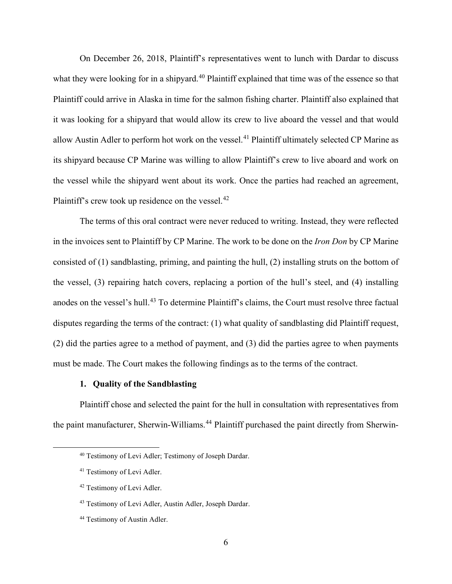On December 26, 2018, Plaintiff's representatives went to lunch with Dardar to discuss what they were looking for in a shipyard.<sup>40</sup> Plaintiff explained that time was of the essence so that Plaintiff could arrive in Alaska in time for the salmon fishing charter. Plaintiff also explained that it was looking for a shipyard that would allow its crew to live aboard the vessel and that would allow Austin Adler to perform hot work on the vessel.<sup>41</sup> Plaintiff ultimately selected CP Marine as its shipyard because CP Marine was willing to allow Plaintiff's crew to live aboard and work on the vessel while the shipyard went about its work. Once the parties had reached an agreement, Plaintiff's crew took up residence on the vessel. $42$ 

The terms of this oral contract were never reduced to writing. Instead, they were reflected in the invoices sent to Plaintiff by CP Marine. The work to be done on the *Iron Don* by CP Marine consisted of (1) sandblasting, priming, and painting the hull, (2) installing struts on the bottom of the vessel, (3) repairing hatch covers, replacing a portion of the hull's steel, and (4) installing anodes on the vessel's hull.<sup>43</sup> To determine Plaintiff's claims, the Court must resolve three factual disputes regarding the terms of the contract: (1) what quality of sandblasting did Plaintiff request, (2) did the parties agree to a method of payment, and (3) did the parties agree to when payments must be made. The Court makes the following findings as to the terms of the contract.

### **1. Quality of the Sandblasting**

Plaintiff chose and selected the paint for the hull in consultation with representatives from the paint manufacturer, Sherwin-Williams.<sup>44</sup> Plaintiff purchased the paint directly from Sherwin-

<sup>40</sup> Testimony of Levi Adler; Testimony of Joseph Dardar.

<sup>41</sup> Testimony of Levi Adler.

<sup>42</sup> Testimony of Levi Adler.

<sup>43</sup> Testimony of Levi Adler, Austin Adler, Joseph Dardar.

<sup>44</sup> Testimony of Austin Adler.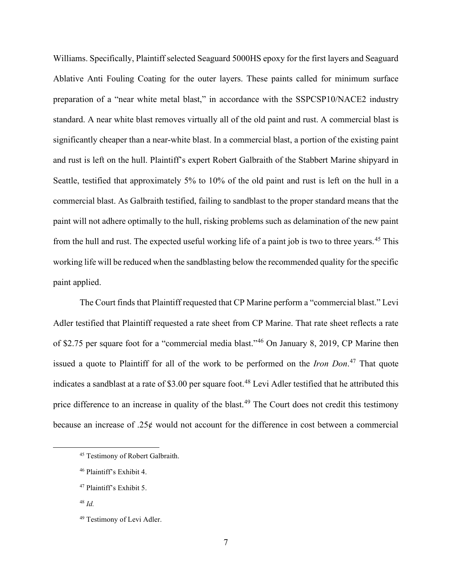Williams. Specifically, Plaintiff selected Seaguard 5000HS epoxy for the first layers and Seaguard Ablative Anti Fouling Coating for the outer layers. These paints called for minimum surface preparation of a "near white metal blast," in accordance with the SSPCSP10/NACE2 industry standard. A near white blast removes virtually all of the old paint and rust. A commercial blast is significantly cheaper than a near-white blast. In a commercial blast, a portion of the existing paint and rust is left on the hull. Plaintiff's expert Robert Galbraith of the Stabbert Marine shipyard in Seattle, testified that approximately 5% to 10% of the old paint and rust is left on the hull in a commercial blast. As Galbraith testified, failing to sandblast to the proper standard means that the paint will not adhere optimally to the hull, risking problems such as delamination of the new paint from the hull and rust. The expected useful working life of a paint job is two to three years.<sup>45</sup> This working life will be reduced when the sandblasting below the recommended quality for the specific paint applied.

The Court finds that Plaintiff requested that CP Marine perform a "commercial blast." Levi Adler testified that Plaintiff requested a rate sheet from CP Marine. That rate sheet reflects a rate of \$2.75 per square foot for a "commercial media blast."<sup>46</sup> On January 8, 2019, CP Marine then issued a quote to Plaintiff for all of the work to be performed on the *Iron Don*. <sup>47</sup> That quote indicates a sandblast at a rate of \$3.00 per square foot.<sup>48</sup> Levi Adler testified that he attributed this price difference to an increase in quality of the blast.<sup>49</sup> The Court does not credit this testimony because an increase of  $.25¢$  would not account for the difference in cost between a commercial

<sup>45</sup> Testimony of Robert Galbraith.

<sup>46</sup> Plaintiff's Exhibit 4.

<sup>47</sup> Plaintiff's Exhibit 5.

<sup>48</sup> *Id.*

<sup>49</sup> Testimony of Levi Adler.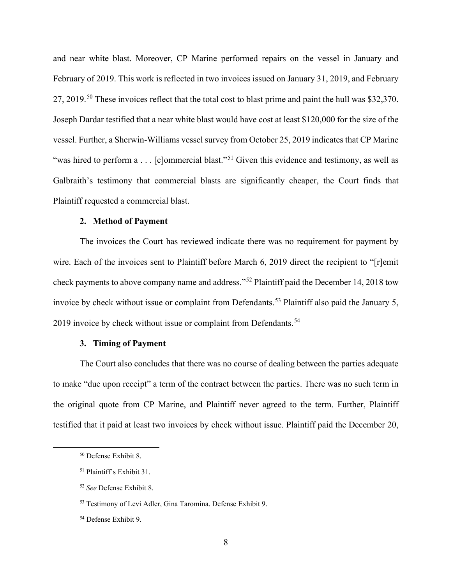and near white blast. Moreover, CP Marine performed repairs on the vessel in January and February of 2019. This work is reflected in two invoices issued on January 31, 2019, and February 27, 2019.<sup>50</sup> These invoices reflect that the total cost to blast prime and paint the hull was \$32,370. Joseph Dardar testified that a near white blast would have cost at least \$120,000 for the size of the vessel. Further, a Sherwin-Williams vessel survey from October 25, 2019 indicates that CP Marine "was hired to perform a . . . [c]ommercial blast."<sup>51</sup> Given this evidence and testimony, as well as Galbraith's testimony that commercial blasts are significantly cheaper, the Court finds that Plaintiff requested a commercial blast.

### **2. Method of Payment**

The invoices the Court has reviewed indicate there was no requirement for payment by wire. Each of the invoices sent to Plaintiff before March 6, 2019 direct the recipient to "[r]emit check payments to above company name and address."<sup>52</sup> Plaintiff paid the December 14, 2018 tow invoice by check without issue or complaint from Defendants.<sup>53</sup> Plaintiff also paid the January 5, 2019 invoice by check without issue or complaint from Defendants.<sup>54</sup>

### **3. Timing of Payment**

The Court also concludes that there was no course of dealing between the parties adequate to make "due upon receipt" a term of the contract between the parties. There was no such term in the original quote from CP Marine, and Plaintiff never agreed to the term. Further, Plaintiff testified that it paid at least two invoices by check without issue. Plaintiff paid the December 20,

<sup>50</sup> Defense Exhibit 8.

<sup>51</sup> Plaintiff's Exhibit 31.

<sup>52</sup> *See* Defense Exhibit 8.

<sup>53</sup> Testimony of Levi Adler, Gina Taromina. Defense Exhibit 9.

<sup>54</sup> Defense Exhibit 9.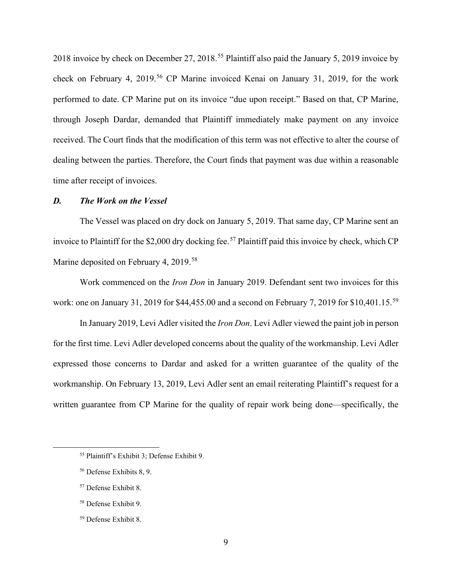2018 invoice by check on December 27, 2018.<sup>55</sup> Plaintiff also paid the January 5, 2019 invoice by check on February 4, 2019.<sup>56</sup> CP Marine invoiced Kenai on January 31, 2019, for the work performed to date. CP Marine put on its invoice "due upon receipt." Based on that, CP Marine, through Joseph Dardar, demanded that Plaintiff immediately make payment on any invoice received. The Court finds that the modification of this term was not effective to alter the course of dealing between the parties. Therefore, the Court finds that payment was due within a reasonable time after receipt of invoices.

### *D. The Work on the Vessel*

The Vessel was placed on dry dock on January 5, 2019. That same day, CP Marine sent an invoice to Plaintiff for the \$2,000 dry docking fee.<sup>57</sup> Plaintiff paid this invoice by check, which CP Marine deposited on February 4, 2019.<sup>58</sup>

Work commenced on the *Iron Don* in January 2019. Defendant sent two invoices for this work: one on January 31, 2019 for \$44,455.00 and a second on February 7, 2019 for \$10,401.15.<sup>59</sup>

In January 2019, Levi Adler visited the *Iron Don*. Levi Adler viewed the paint job in person for the first time. Levi Adler developed concerns about the quality of the workmanship. Levi Adler expressed those concerns to Dardar and asked for a written guarantee of the quality of the workmanship. On February 13, 2019, Levi Adler sent an email reiterating Plaintiff's request for a written guarantee from CP Marine for the quality of repair work being done—specifically, the

<sup>58</sup> Defense Exhibit 9.

<sup>55</sup> Plaintiff's Exhibit 3; Defense Exhibit 9.

<sup>56</sup> Defense Exhibits 8, 9.

<sup>57</sup> Defense Exhibit 8.

<sup>59</sup> Defense Exhibit 8.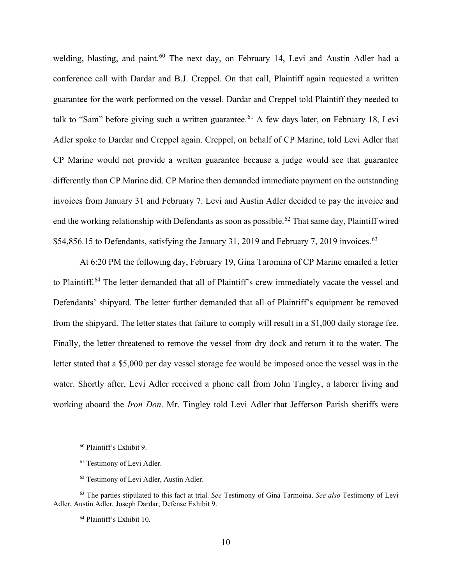welding, blasting, and paint.<sup>60</sup> The next day, on February 14, Levi and Austin Adler had a conference call with Dardar and B.J. Creppel. On that call, Plaintiff again requested a written guarantee for the work performed on the vessel. Dardar and Creppel told Plaintiff they needed to talk to "Sam" before giving such a written guarantee.<sup>61</sup> A few days later, on February 18, Levi Adler spoke to Dardar and Creppel again. Creppel, on behalf of CP Marine, told Levi Adler that CP Marine would not provide a written guarantee because a judge would see that guarantee differently than CP Marine did. CP Marine then demanded immediate payment on the outstanding invoices from January 31 and February 7. Levi and Austin Adler decided to pay the invoice and end the working relationship with Defendants as soon as possible.<sup>62</sup> That same day, Plaintiff wired \$54,856.15 to Defendants, satisfying the January 31, 2019 and February 7, 2019 invoices.<sup>63</sup>

At 6:20 PM the following day, February 19, Gina Taromina of CP Marine emailed a letter to Plaintiff.<sup>64</sup> The letter demanded that all of Plaintiff's crew immediately vacate the vessel and Defendants' shipyard. The letter further demanded that all of Plaintiff's equipment be removed from the shipyard. The letter states that failure to comply will result in a \$1,000 daily storage fee. Finally, the letter threatened to remove the vessel from dry dock and return it to the water. The letter stated that a \$5,000 per day vessel storage fee would be imposed once the vessel was in the water. Shortly after, Levi Adler received a phone call from John Tingley, a laborer living and working aboard the *Iron Don*. Mr. Tingley told Levi Adler that Jefferson Parish sheriffs were

<sup>60</sup> Plaintiff's Exhibit 9.

<sup>61</sup> Testimony of Levi Adler.

<sup>62</sup> Testimony of Levi Adler, Austin Adler.

<sup>63</sup> The parties stipulated to this fact at trial. *See* Testimony of Gina Tarmoina. *See also* Testimony of Levi Adler, Austin Adler, Joseph Dardar; Defense Exhibit 9.

<sup>64</sup> Plaintiff's Exhibit 10.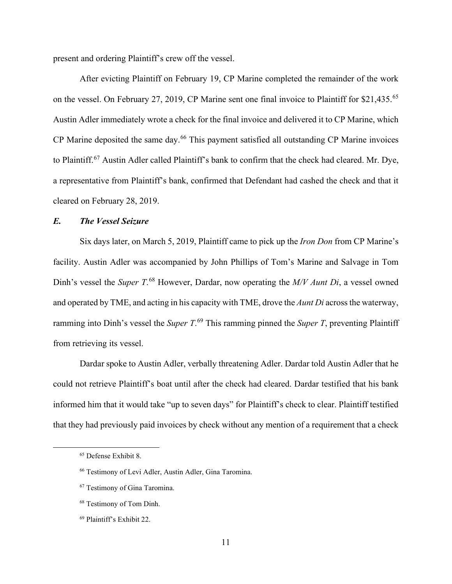present and ordering Plaintiff's crew off the vessel.

After evicting Plaintiff on February 19, CP Marine completed the remainder of the work on the vessel. On February 27, 2019, CP Marine sent one final invoice to Plaintiff for \$21.435.<sup>65</sup> Austin Adler immediately wrote a check for the final invoice and delivered it to CP Marine, which CP Marine deposited the same day.<sup>66</sup> This payment satisfied all outstanding CP Marine invoices to Plaintiff.<sup>67</sup> Austin Adler called Plaintiff's bank to confirm that the check had cleared. Mr. Dye, a representative from Plaintiff's bank, confirmed that Defendant had cashed the check and that it cleared on February 28, 2019.

## *E. The Vessel Seizure*

Six days later, on March 5, 2019, Plaintiff came to pick up the *Iron Don* from CP Marine's facility. Austin Adler was accompanied by John Phillips of Tom's Marine and Salvage in Tom Dinh's vessel the *Super T*. <sup>68</sup> However, Dardar, now operating the *M/V Aunt Di*, a vessel owned and operated by TME, and acting in his capacity with TME, drove the *Aunt Di* across the waterway, ramming into Dinh's vessel the *Super T*. <sup>69</sup> This ramming pinned the *Super T*, preventing Plaintiff from retrieving its vessel.

Dardar spoke to Austin Adler, verbally threatening Adler. Dardar told Austin Adler that he could not retrieve Plaintiff's boat until after the check had cleared. Dardar testified that his bank informed him that it would take "up to seven days" for Plaintiff's check to clear. Plaintiff testified that they had previously paid invoices by check without any mention of a requirement that a check

<sup>68</sup> Testimony of Tom Dinh.

<sup>65</sup> Defense Exhibit 8.

<sup>66</sup> Testimony of Levi Adler, Austin Adler, Gina Taromina.

<sup>67</sup> Testimony of Gina Taromina.

<sup>69</sup> Plaintiff's Exhibit 22.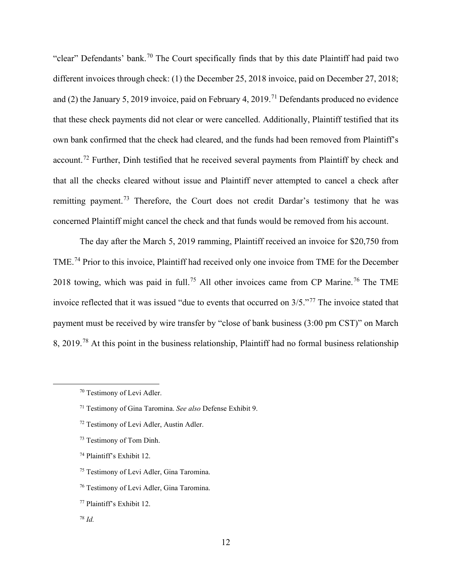"clear" Defendants' bank.<sup>70</sup> The Court specifically finds that by this date Plaintiff had paid two different invoices through check: (1) the December 25, 2018 invoice, paid on December 27, 2018; and (2) the January 5, 2019 invoice, paid on February 4, 2019.<sup>71</sup> Defendants produced no evidence that these check payments did not clear or were cancelled. Additionally, Plaintiff testified that its own bank confirmed that the check had cleared, and the funds had been removed from Plaintiff's account.<sup>72</sup> Further, Dinh testified that he received several payments from Plaintiff by check and that all the checks cleared without issue and Plaintiff never attempted to cancel a check after remitting payment.<sup>73</sup> Therefore, the Court does not credit Dardar's testimony that he was concerned Plaintiff might cancel the check and that funds would be removed from his account.

The day after the March 5, 2019 ramming, Plaintiff received an invoice for \$20,750 from TME.<sup>74</sup> Prior to this invoice, Plaintiff had received only one invoice from TME for the December 2018 towing, which was paid in full.<sup>75</sup> All other invoices came from CP Marine.<sup>76</sup> The TME invoice reflected that it was issued "due to events that occurred on 3/5."<sup>77</sup> The invoice stated that payment must be received by wire transfer by "close of bank business (3:00 pm CST)" on March 8, 2019.<sup>78</sup> At this point in the business relationship, Plaintiff had no formal business relationship

- <sup>72</sup> Testimony of Levi Adler, Austin Adler.
- <sup>73</sup> Testimony of Tom Dinh.
- <sup>74</sup> Plaintiff's Exhibit 12.
- <sup>75</sup> Testimony of Levi Adler, Gina Taromina.
- <sup>76</sup> Testimony of Levi Adler, Gina Taromina.
- <sup>77</sup> Plaintiff's Exhibit 12.
- <sup>78</sup> *Id.*

<sup>70</sup> Testimony of Levi Adler.

<sup>71</sup> Testimony of Gina Taromina. *See also* Defense Exhibit 9.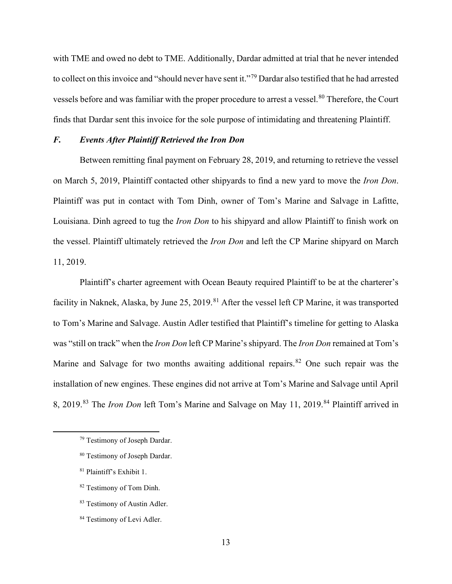with TME and owed no debt to TME. Additionally, Dardar admitted at trial that he never intended to collect on this invoice and "should never have sent it."<sup>79</sup> Dardar also testified that he had arrested vessels before and was familiar with the proper procedure to arrest a vessel.<sup>80</sup> Therefore, the Court finds that Dardar sent this invoice for the sole purpose of intimidating and threatening Plaintiff.

## *F. Events After Plaintiff Retrieved the Iron Don*

Between remitting final payment on February 28, 2019, and returning to retrieve the vessel on March 5, 2019, Plaintiff contacted other shipyards to find a new yard to move the *Iron Don*. Plaintiff was put in contact with Tom Dinh, owner of Tom's Marine and Salvage in Lafitte, Louisiana. Dinh agreed to tug the *Iron Don* to his shipyard and allow Plaintiff to finish work on the vessel. Plaintiff ultimately retrieved the *Iron Don* and left the CP Marine shipyard on March 11, 2019.

Plaintiff's charter agreement with Ocean Beauty required Plaintiff to be at the charterer's facility in Naknek, Alaska, by June 25, 2019.<sup>81</sup> After the vessel left CP Marine, it was transported to Tom's Marine and Salvage. Austin Adler testified that Plaintiff's timeline for getting to Alaska was "still on track" when the *Iron Don* left CP Marine's shipyard. The *Iron Don* remained at Tom's Marine and Salvage for two months awaiting additional repairs.<sup>82</sup> One such repair was the installation of new engines. These engines did not arrive at Tom's Marine and Salvage until April 8, 2019. <sup>83</sup> The *Iron Don* left Tom's Marine and Salvage on May 11, 2019. <sup>84</sup> Plaintiff arrived in

<sup>79</sup> Testimony of Joseph Dardar.

<sup>80</sup> Testimony of Joseph Dardar.

<sup>81</sup> Plaintiff's Exhibit 1.

<sup>82</sup> Testimony of Tom Dinh.

<sup>83</sup> Testimony of Austin Adler.

<sup>84</sup> Testimony of Levi Adler.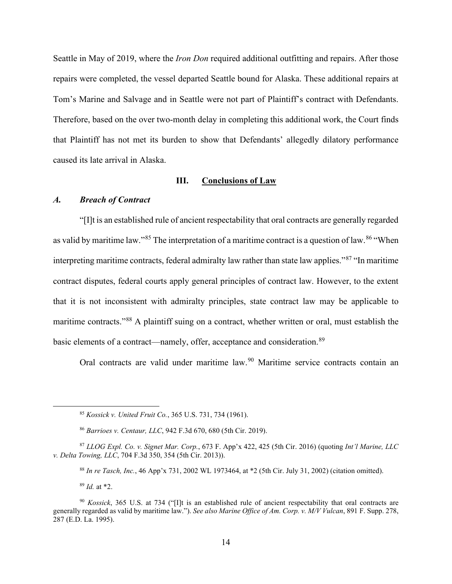Seattle in May of 2019, where the *Iron Don* required additional outfitting and repairs. After those repairs were completed, the vessel departed Seattle bound for Alaska. These additional repairs at Tom's Marine and Salvage and in Seattle were not part of Plaintiff's contract with Defendants. Therefore, based on the over two-month delay in completing this additional work, the Court finds that Plaintiff has not met its burden to show that Defendants' allegedly dilatory performance caused its late arrival in Alaska.

### **III. Conclusions of Law**

## *A. Breach of Contract*

"[I]t is an established rule of ancient respectability that oral contracts are generally regarded as valid by maritime law."<sup>85</sup> The interpretation of a maritime contract is a question of law.<sup>86</sup> "When interpreting maritime contracts, federal admiralty law rather than state law applies."<sup>87</sup> "In maritime contract disputes, federal courts apply general principles of contract law. However, to the extent that it is not inconsistent with admiralty principles, state contract law may be applicable to maritime contracts."<sup>88</sup> A plaintiff suing on a contract, whether written or oral, must establish the basic elements of a contract—namely, offer, acceptance and consideration.<sup>89</sup>

Oral contracts are valid under maritime law.<sup>90</sup> Maritime service contracts contain an

<sup>89</sup> *Id.* at \*2.

<sup>85</sup> *Kossick v. United Fruit Co.*, 365 U.S. 731, 734 (1961).

<sup>86</sup> *Barrioes v. Centaur, LLC*, 942 F.3d 670, 680 (5th Cir. 2019).

<sup>87</sup> *LLOG Expl. Co. v. Signet Mar. Corp.*, 673 F. App'x 422, 425 (5th Cir. 2016) (quoting *Int'l Marine, LLC v. Delta Towing, LLC*, 704 F.3d 350, 354 (5th Cir. 2013)).

<sup>88</sup> *In re Tasch, Inc.*, 46 App'x 731, 2002 WL 1973464, at \*2 (5th Cir. July 31, 2002) (citation omitted).

<sup>90</sup> *Kossick*, 365 U.S. at 734 ("[I]t is an established rule of ancient respectability that oral contracts are generally regarded as valid by maritime law."). *See also Marine Office of Am. Corp. v. M/V Vulcan*, 891 F. Supp. 278, 287 (E.D. La. 1995).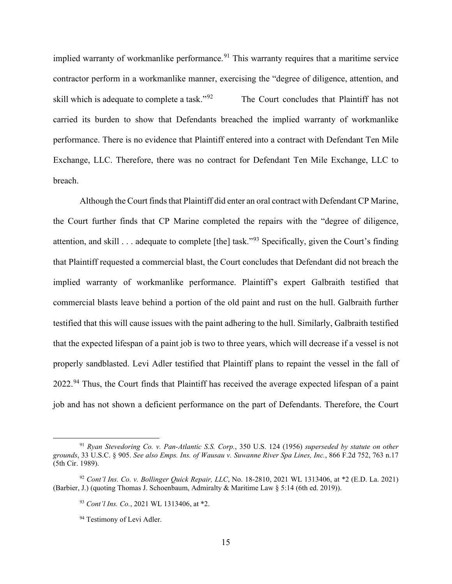implied warranty of workmanlike performance.<sup>91</sup> This warranty requires that a maritime service contractor perform in a workmanlike manner, exercising the "degree of diligence, attention, and skill which is adequate to complete a task."<sup>92</sup> The Court concludes that Plaintiff has not carried its burden to show that Defendants breached the implied warranty of workmanlike performance. There is no evidence that Plaintiff entered into a contract with Defendant Ten Mile Exchange, LLC. Therefore, there was no contract for Defendant Ten Mile Exchange, LLC to breach.

Although the Court finds that Plaintiff did enter an oral contract with Defendant CP Marine, the Court further finds that CP Marine completed the repairs with the "degree of diligence, attention, and skill . . . adequate to complete [the] task."<sup>93</sup> Specifically, given the Court's finding that Plaintiff requested a commercial blast, the Court concludes that Defendant did not breach the implied warranty of workmanlike performance. Plaintiff's expert Galbraith testified that commercial blasts leave behind a portion of the old paint and rust on the hull. Galbraith further testified that this will cause issues with the paint adhering to the hull. Similarly, Galbraith testified that the expected lifespan of a paint job is two to three years, which will decrease if a vessel is not properly sandblasted. Levi Adler testified that Plaintiff plans to repaint the vessel in the fall of 2022.<sup>94</sup> Thus, the Court finds that Plaintiff has received the average expected lifespan of a paint job and has not shown a deficient performance on the part of Defendants. Therefore, the Court

<sup>91</sup> *Ryan Stevedoring Co. v. Pan-Atlantic S.S. Corp.*, 350 U.S. 124 (1956) *superseded by statute on other grounds*, 33 U.S.C. § 905. *See also Emps. Ins. of Wausau v. Suwanne River Spa Lines, Inc.*, 866 F.2d 752, 763 n.17 (5th Cir. 1989).

<sup>92</sup> *Cont'l Ins. Co. v. Bollinger Quick Repair, LLC*, No. 18-2810, 2021 WL 1313406, at \*2 (E.D. La. 2021) (Barbier, J.) (quoting Thomas J. Schoenbaum, Admiralty & Maritime Law § 5:14 (6th ed. 2019)).

<sup>93</sup> *Cont'l Ins. Co.*, 2021 WL 1313406, at \*2.

<sup>&</sup>lt;sup>94</sup> Testimony of Levi Adler.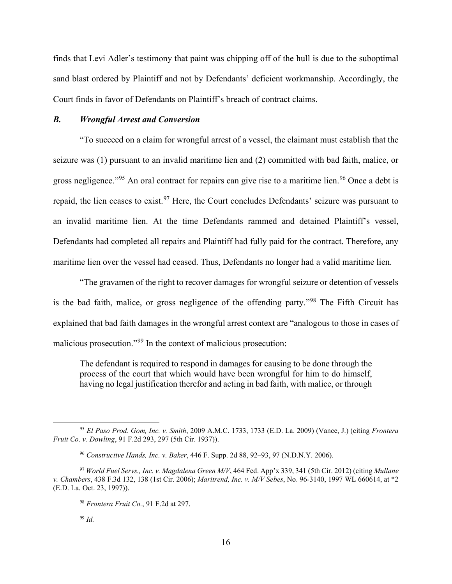finds that Levi Adler's testimony that paint was chipping off of the hull is due to the suboptimal sand blast ordered by Plaintiff and not by Defendants' deficient workmanship. Accordingly, the Court finds in favor of Defendants on Plaintiff's breach of contract claims.

### *B. Wrongful Arrest and Conversion*

"To succeed on a claim for wrongful arrest of a vessel, the claimant must establish that the seizure was (1) pursuant to an invalid maritime lien and (2) committed with bad faith, malice, or gross negligence."<sup>95</sup> An oral contract for repairs can give rise to a maritime lien.<sup>96</sup> Once a debt is repaid, the lien ceases to exist.<sup>97</sup> Here, the Court concludes Defendants' seizure was pursuant to an invalid maritime lien. At the time Defendants rammed and detained Plaintiff's vessel, Defendants had completed all repairs and Plaintiff had fully paid for the contract. Therefore, any maritime lien over the vessel had ceased. Thus, Defendants no longer had a valid maritime lien.

"The gravamen of the right to recover damages for wrongful seizure or detention of vessels is the bad faith, malice, or gross negligence of the offending party."<sup>98</sup> The Fifth Circuit has explained that bad faith damages in the wrongful arrest context are "analogous to those in cases of malicious prosecution."<sup>99</sup> In the context of malicious prosecution:

The defendant is required to respond in damages for causing to be done through the process of the court that which would have been wrongful for him to do himself, having no legal justification therefor and acting in bad faith, with malice, or through

<sup>95</sup> *El Paso Prod. Gom, Inc. v. Smith*, 2009 A.M.C. 1733, 1733 (E.D. La. 2009) (Vance, J.) (citing *Frontera Fruit Co. v. Dowling*, 91 F.2d 293, 297 (5th Cir. 1937)).

<sup>96</sup> *Constructive Hands, Inc. v. Baker*, 446 F. Supp. 2d 88, 92–93, 97 (N.D.N.Y. 2006).

<sup>97</sup> *World Fuel Servs., Inc. v. Magdalena Green M/V*, 464 Fed. App'x 339, 341 (5th Cir. 2012) (citing *Mullane v. Chambers*, 438 F.3d 132, 138 (1st Cir. 2006); *Maritrend, Inc. v. M/V Sebes*, No. 96-3140, 1997 WL 660614, at \*2 (E.D. La. Oct. 23, 1997)).

<sup>98</sup> *Frontera Fruit Co.*, 91 F.2d at 297.

<sup>99</sup> *Id.*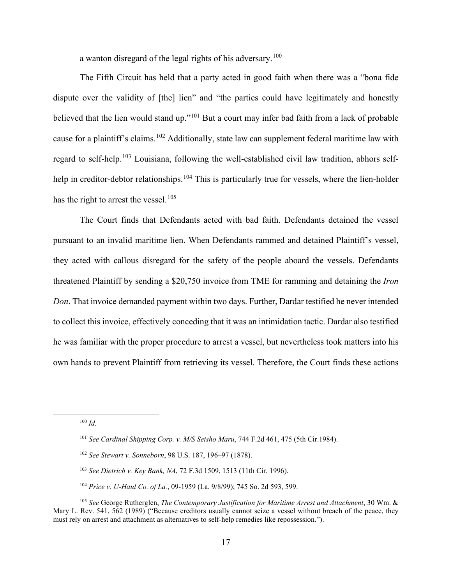a wanton disregard of the legal rights of his adversary. $^{100}$ 

The Fifth Circuit has held that a party acted in good faith when there was a "bona fide dispute over the validity of [the] lien" and "the parties could have legitimately and honestly believed that the lien would stand up."<sup>101</sup> But a court may infer bad faith from a lack of probable cause for a plaintiff's claims.<sup>102</sup> Additionally, state law can supplement federal maritime law with regard to self-help.<sup>103</sup> Louisiana, following the well-established civil law tradition, abhors selfhelp in creditor-debtor relationships.<sup>104</sup> This is particularly true for vessels, where the lien-holder has the right to arrest the vessel.<sup>105</sup>

The Court finds that Defendants acted with bad faith. Defendants detained the vessel pursuant to an invalid maritime lien. When Defendants rammed and detained Plaintiff's vessel, they acted with callous disregard for the safety of the people aboard the vessels. Defendants threatened Plaintiff by sending a \$20,750 invoice from TME for ramming and detaining the *Iron Don*. That invoice demanded payment within two days. Further, Dardar testified he never intended to collect this invoice, effectively conceding that it was an intimidation tactic. Dardar also testified he was familiar with the proper procedure to arrest a vessel, but nevertheless took matters into his own hands to prevent Plaintiff from retrieving its vessel. Therefore, the Court finds these actions

<sup>100</sup> *Id.*

<sup>104</sup> *Price v. U-Haul Co. of La.*, 09-1959 (La. 9/8/99); 745 So. 2d 593, 599.

<sup>101</sup> *See Cardinal Shipping Corp. v. M/S Seisho Maru*, 744 F.2d 461, 475 (5th Cir.1984).

<sup>102</sup> *See Stewart v. Sonneborn*, 98 U.S. 187, 196–97 (1878).

<sup>103</sup> *See Dietrich v. Key Bank, NA*, 72 F.3d 1509, 1513 (11th Cir. 1996).

<sup>105</sup> *See* George Rutherglen, *The Contemporary Justification for Maritime Arrest and Attachment*, 30 Wm. & Mary L. Rev. 541, 562 (1989) ("Because creditors usually cannot seize a vessel without breach of the peace, they must rely on arrest and attachment as alternatives to self-help remedies like repossession.").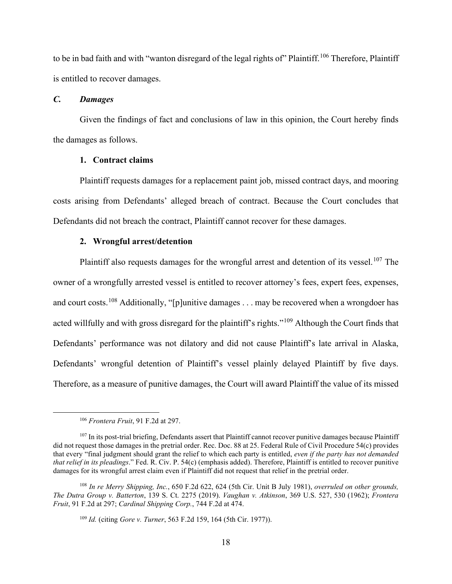to be in bad faith and with "wanton disregard of the legal rights of" Plaintiff.<sup>106</sup> Therefore, Plaintiff is entitled to recover damages.

### *C. Damages*

Given the findings of fact and conclusions of law in this opinion, the Court hereby finds the damages as follows.

### **1. Contract claims**

Plaintiff requests damages for a replacement paint job, missed contract days, and mooring costs arising from Defendants' alleged breach of contract. Because the Court concludes that Defendants did not breach the contract, Plaintiff cannot recover for these damages.

### **2. Wrongful arrest/detention**

Plaintiff also requests damages for the wrongful arrest and detention of its vessel.<sup>107</sup> The owner of a wrongfully arrested vessel is entitled to recover attorney's fees, expert fees, expenses, and court costs.<sup>108</sup> Additionally, "[p]unitive damages . . . may be recovered when a wrongdoer has acted willfully and with gross disregard for the plaintiff's rights."<sup>109</sup> Although the Court finds that Defendants' performance was not dilatory and did not cause Plaintiff's late arrival in Alaska, Defendants' wrongful detention of Plaintiff's vessel plainly delayed Plaintiff by five days. Therefore, as a measure of punitive damages, the Court will award Plaintiff the value of its missed

<sup>106</sup> *Frontera Fruit*, 91 F.2d at 297.

<sup>&</sup>lt;sup>107</sup> In its post-trial briefing, Defendants assert that Plaintiff cannot recover punitive damages because Plaintiff did not request those damages in the pretrial order. Rec. Doc. 88 at 25. Federal Rule of Civil Procedure 54(c) provides that every "final judgment should grant the relief to which each party is entitled, *even if the party has not demanded that relief in its pleadings*." Fed. R. Civ. P. 54(c) (emphasis added). Therefore, Plaintiff is entitled to recover punitive damages for its wrongful arrest claim even if Plaintiff did not request that relief in the pretrial order.

<sup>108</sup> *In re Merry Shipping, Inc.*, 650 F.2d 622, 624 (5th Cir. Unit B July 1981), *overruled on other grounds, The Dutra Group v. Batterton*, 139 S. Ct. 2275 (2019). *Vaughan v. Atkinson*, 369 U.S. 527, 530 (1962); *Frontera Fruit*, 91 F.2d at 297; *Cardinal Shipping Corp.*, 744 F.2d at 474.

<sup>109</sup> *Id.* (citing *Gore v. Turner*, 563 F.2d 159, 164 (5th Cir. 1977)).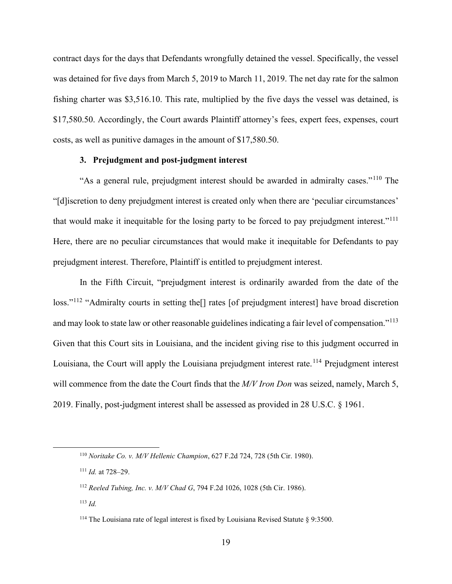contract days for the days that Defendants wrongfully detained the vessel. Specifically, the vessel was detained for five days from March 5, 2019 to March 11, 2019. The net day rate for the salmon fishing charter was \$3,516.10. This rate, multiplied by the five days the vessel was detained, is \$17,580.50. Accordingly, the Court awards Plaintiff attorney's fees, expert fees, expenses, court costs, as well as punitive damages in the amount of \$17,580.50.

### **3. Prejudgment and post-judgment interest**

"As a general rule, prejudgment interest should be awarded in admiralty cases."<sup>110</sup> The "[d]iscretion to deny prejudgment interest is created only when there are 'peculiar circumstances' that would make it inequitable for the losing party to be forced to pay prejudgment interest."<sup>111</sup> Here, there are no peculiar circumstances that would make it inequitable for Defendants to pay prejudgment interest. Therefore, Plaintiff is entitled to prejudgment interest.

In the Fifth Circuit, "prejudgment interest is ordinarily awarded from the date of the loss."<sup>112</sup> "Admiralty courts in setting the<sup>[]</sup> rates [of prejudgment interest] have broad discretion and may look to state law or other reasonable guidelines indicating a fair level of compensation."<sup>113</sup> Given that this Court sits in Louisiana, and the incident giving rise to this judgment occurred in Louisiana, the Court will apply the Louisiana prejudgment interest rate.<sup>114</sup> Prejudgment interest will commence from the date the Court finds that the *M/V Iron Don* was seized, namely, March 5, 2019. Finally, post-judgment interest shall be assessed as provided in 28 U.S.C. § 1961.

<sup>110</sup> *Noritake Co. v. M/V Hellenic Champion*, 627 F.2d 724, 728 (5th Cir. 1980).

<sup>111</sup> *Id.* at 728–29.

<sup>112</sup> *Reeled Tubing, Inc. v. M/V Chad G*, 794 F.2d 1026, 1028 (5th Cir. 1986).

<sup>113</sup> *Id.*

<sup>&</sup>lt;sup>114</sup> The Louisiana rate of legal interest is fixed by Louisiana Revised Statute § 9:3500.